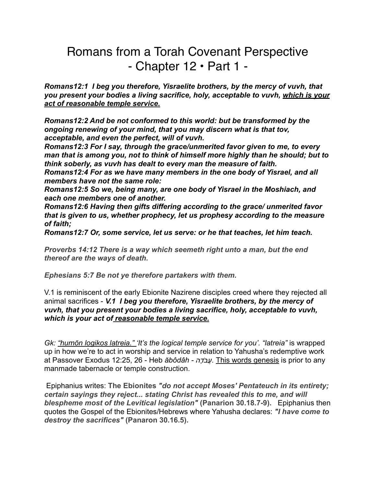# Romans from a Torah Covenant Perspective - Chapter 12 • Part 1 -

*Romans12:1 I beg you therefore, Yisraelite brothers, by the mercy of vuvh, that you present your bodies a living sacrifice, holy, acceptable to vuvh, which is your act of reasonable temple service.*

*Romans12:2 And be not conformed to this world: but be transformed by the ongoing renewing of your mind, that you may discern what is that tov, acceptable, and even the perfect, will of vuvh.* 

*Romans12:3 For I say, through the grace/unmerited favor given to me, to every man that is among you, not to think of himself more highly than he should; but to think soberly, as vuvh has dealt to every man the measure of faith.* 

*Romans12:4 For as we have many members in the one body of Yisrael, and all members have not the same role:* 

*Romans12:5 So we, being many, are one body of Yisrael in the Moshiach, and each one members one of another.* 

*Romans12:6 Having then gifts differing according to the grace/ unmerited favor that is given to us, whether prophecy, let us prophesy according to the measure of faith;* 

*Romans12:7 Or, some service, let us serve: or he that teaches, let him teach.* 

*Proverbs 14:12 There is a way which seemeth right unto a man, but the end thereof are the ways of death.* 

*Ephesians 5:7 Be not ye therefore partakers with them.* 

V.1 is reminiscent of the early Ebionite Nazirene disciples creed where they rejected all animal sacrifices - *V.1 I beg you therefore, Yisraelite brothers, by the mercy of vuvh, that you present your bodies a living sacrifice, holy, acceptable to vuvh, which is your act of reasonable temple service.* 

*Gk: "humōn logikos latreia." 'It's the logical temple service for you'. "latreia"* is wrapped up in how we're to act in worship and service in relation to Yahusha's redemptive work at Passover Exodus 12:25, 26 - Heb *ăbôdâh - דהָֹעבֲ .* This words genesis is prior to any manmade tabernacle or temple construction.

 Epiphanius writes: **The Ebionites** *"do not accept Moses' Pentateuch in its entirety; certain sayings they reject... stating Christ has revealed this to me, and will blespheme most of the Levitical legislation"* **(Panarion 30.18.7-9).** Epiphanius then quotes the Gospel of the Ebionites/Hebrews where Yahusha declares: *"I have come to destroy the sacrifices"* **(Panaron 30.16.5).**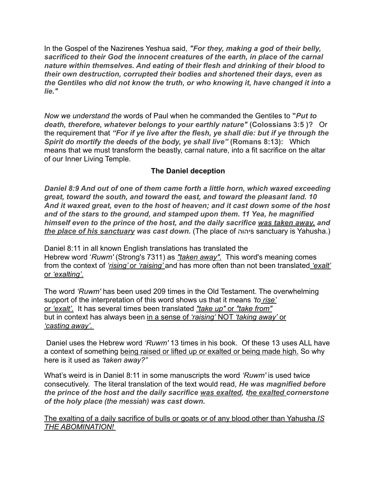In the Gospel of the Nazirenes Yeshua said, *"For they, making a god of their belly, sacrificed to their God the innocent creatures of the earth, in place of the carnal nature within themselves. And eating of their flesh and drinking of their blood to their own destruction, corrupted their bodies and shortened their days, even as the Gentiles who did not know the truth, or who knowing it, have changed it into a lie."*

*Now we understand the* words of Paul when he commanded the Gentiles to **"***Put to death, therefore, whatever belongs to your earthly nature"* **(Colossians 3:5 )?** Or the requirement that *"For if ye live after the flesh, ye shall die: but if ye through the Spirit do mortify the deeds of the body, ye shall live"* **(Romans 8:13):** Which means that we must transform the beastly, carnal nature, into a fit sacrifice on the altar of our Inner Living Temple.

## **The Daniel deception**

*Daniel 8:9 And out of one of them came forth a little horn, which waxed exceeding great, toward the south, and toward the east, and toward the pleasant land. 10 And it waxed great, even to the host of heaven; and it cast down some of the host and of the stars to the ground, and stamped upon them. 11 Yea, he magnified himself even to the prince of the host, and the daily sacrifice was taken away, and the place of his sanctuary was cast down.* (The place of יהוהs sanctuary is Yahusha.)

Daniel 8:11 in all known English translations has translated the Hebrew word '*Ruwm'* (Strong's 7311) as *"taken away".* This word's meaning comes from the context of *'rising'* or *'raising'* and has more often than not been translated *'exalt'* or *'exalting'.*

The word *'Ruwm'* has been used 209 times in the Old Testament. The overwhelming support of the interpretation of this word shows us that it means *'to rise'* or *'exalt'*. It has several times been translated *"take up"* or *"take from"* but in context has always been in a sense of *'raising'* NOT *'taking away'* or *'casting away'*.

 Daniel uses the Hebrew word *'Ruwm'* 13 times in his book. Of these 13 uses ALL have a context of something being raised or lifted up or exalted or being made high. So why here is it used as *'taken away?"* 

What's weird is in Daniel 8:11 in some manuscripts the word *'Ruwm'* is used twice consecutively. The literal translation of the text would read, *He was magnified before the prince of the host and the daily sacrifice was exalted, the exalted cornerstone of the holy place (the messiah) was cast down.* 

The exalting of a daily sacrifice of bulls or goats or of any blood other than Yahusha *IS THE ABOMINATION!*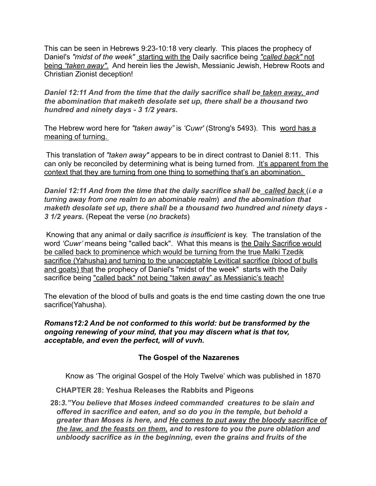This can be seen in Hebrews 9:23-10:18 very clearly. This places the prophecy of Daniel's *"midst of the week"* starting with the Daily sacrifice being *"called back"* not being *"taken away".* And herein lies the Jewish, Messianic Jewish, Hebrew Roots and Christian Zionist deception!

*Daniel 12:11 And from the time that the daily sacrifice shall be taken away, and the abomination that maketh desolate set up, there shall be a thousand two hundred and ninety days - 3 1/2 years.* 

The Hebrew word here for *"taken away"* is *'Cuwr'* (Strong's 5493). This word has a meaning of turning.

 This translation of *"taken away"* appears to be in direct contrast to Daniel 8:11. This can only be reconciled by determining what is being turned from. It's apparent from the context that they are turning from one thing to something that's an abomination.

*Daniel 12:11 And from the time that the daily sacrifice shall be called back* (*i.e a turning away from one realm to an abominable realm*) *and the abomination that maketh desolate set up, there shall be a thousand two hundred and ninety days - 3 1/2 years.* (Repeat the verse (*no brackets*)

 Knowing that any animal or daily sacrifice *is insufficient* is key. The translation of the word *'Cuwr'* means being "called back". What this means is the Daily Sacrifice would be called back to prominence which would be turning from the true Malki Tzedik sacrifice (Yahusha) and turning to the unacceptable Levitical sacrifice (blood of bulls and goats) that the prophecy of Daniel's "midst of the week" starts with the Daily sacrifice being "called back" not being "taken away" as Messianic's teach!

The elevation of the blood of bulls and goats is the end time casting down the one true sacrifice(Yahusha).

*Romans12:2 And be not conformed to this world: but be transformed by the ongoing renewing of your mind, that you may discern what is that tov, acceptable, and even the perfect, will of vuvh.* 

## **The Gospel of the Nazarenes**

Know as 'The original Gospel of the Holy Twelve' which was published in 1870

 **CHAPTER 28: Yeshua Releases the Rabbits and Pigeons** 

**28:***3."You believe that Moses indeed commanded creatures to be slain and offered in sacrifice and eaten, and so do you in the temple, but behold a greater than Moses is here, and He comes to put away the bloody sacrifice of the law, and the feasts on them, and to restore to you the pure oblation and unbloody sacrifice as in the beginning, even the grains and fruits of the*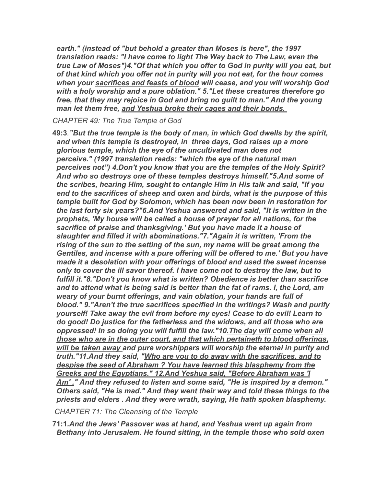*earth." (instead of "but behold a greater than Moses is here", the 1997 translation reads: "I have come to light The Way back to The Law, even the true Law of Moses")4."Of that which you offer to God in purity will you eat, but of that kind which you offer not in purity will you not eat, for the hour comes when your sacrifices and feasts of blood will cease, and you will worship God with a holy worship and a pure oblation." 5."Let these creatures therefore go free, that they may rejoice in God and bring no guilt to man." And the young man let them free, and Yeshua broke their cages and their bonds.* 

*CHAPTER 49: The True Temple of God* 

**49:3***."But the true temple is the body of man, in which God dwells by the spirit, and when this temple is destroyed, in three days, God raises up a more glorious temple, which the eye of the uncultivated man does not perceive." (1997 translation reads: "which the eye of the natural man perceives not") 4.Don't you know that you are the temples of the Holy Spirit? And who so destroys one of these temples destroys himself."5.And some of the scribes, hearing Him, sought to entangle Him in His talk and said, "If you end to the sacrifices of sheep and oxen and birds, what is the purpose of this temple built for God by Solomon, which has been now been in restoration for the last forty six years?"6.And Yeshua answered and said, "It is written in the prophets, 'My house will be called a house of prayer for all nations, for the sacrifice of praise and thanksgiving.' But you have made it a house of slaughter and filled it with abominations."7."Again it is written, 'From the rising of the sun to the setting of the sun, my name will be great among the Gentiles, and incense with a pure offering will be offered to me.' But you have made it a desolation with your offerings of blood and used the sweet incense only to cover the ill savor thereof. I have come not to destroy the law, but to fulfill it."8."Don't you know what is written? Obedience is better than sacrifice and to attend what is being said is better than the fat of rams. I, the Lord, am weary of your burnt offerings, and vain oblation, your hands are full of blood." 9."Aren't the true sacrifices specified in the writings? Wash and purify yourself! Take away the evil from before my eyes! Cease to do evil! Learn to do good! Do justice for the fatherless and the widows, and all those who are oppressed! In so doing you will fulfill the law."10.The day will come when all those who are in the outer court, and that which pertaineth to blood offerings, will be taken away and pure worshippers will worship the eternal in purity and truth."11.And they said, "Who are you to do away with the sacrifices, and to despise the seed of Abraham ? You have learned this blasphemy from the Greeks and the Egyptians." 12.And Yeshua said, "Before Abraham was 'I Am' ." And they refused to listen and some said, "He is inspired by a demon." Others said, "He is mad." And they went their way and told these things to the priests and elders . And they were wrath, saying, He hath spoken blasphemy.* 

 *CHAPTER 71: The Cleansing of the Temple* 

**71:1***.And the Jews' Passover was at hand, and Yeshua went up again from Bethany into Jerusalem. He found sitting, in the temple those who sold oxen*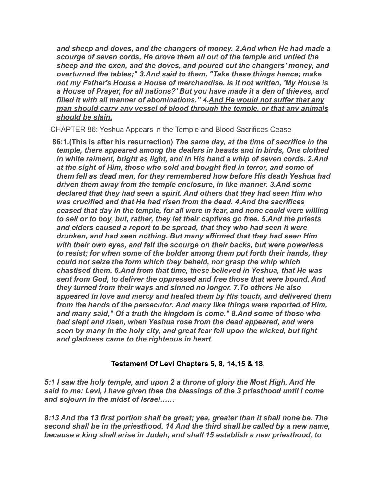*and sheep and doves, and the changers of money. 2.And when He had made a scourge of seven cords, He drove them all out of the temple and untied the sheep and the oxen, and the doves, and poured out the changers' money, and overturned the tables;" 3.And said to them, "Take these things hence; make not my Father's House a House of merchandise. Is it not written, 'My House is a House of Prayer, for all nations?' But you have made it a den of thieves, and filled it with all manner of abominations." 4.And He would not suffer that any man should carry any vessel of blood through the temple, or that any animals should be slain.*

CHAPTER 86: Yeshua Appears in the Temple and Blood Sacrifices Cease

**86:1***.***(This is after his resurrection)** *The same day, at the time of sacrifice in the temple, there appeared among the dealers in beasts and in birds, One clothed in white raiment, bright as light, and in His hand a whip of seven cords. 2.And at the sight of Him, those who sold and bought fled in terror, and some of them fell as dead men, for they remembered how before His death Yeshua had driven them away from the temple enclosure, in like manner. 3.And some declared that they had seen a spirit. And others that they had seen Him who was crucified and that He had risen from the dead. 4.And the sacrifices ceased that day in the temple, for all were in fear, and none could were willing to sell or to boy, but, rather, they let their captives go free. 5.And the priests and elders caused a report to be spread, that they who had seen it were drunken, and had seen nothing. But many affirmed that they had seen Him with their own eyes, and felt the scourge on their backs, but were powerless to resist; for when some of the bolder among them put forth their hands, they could not seize the form which they beheld, nor grasp the whip which chastised them. 6.And from that time, these believed in Yeshua, that He was sent from God, to deliver the oppressed and free those that were bound. And they turned from their ways and sinned no longer. 7.To others He also appeared in love and mercy and healed them by His touch, and delivered them from the hands of the persecutor. And many like things were reported of Him, and many said," Of a truth the kingdom is come." 8.And some of those who had slept and risen, when Yeshua rose from the dead appeared, and were seen by many in the holy city, and great fear fell upon the wicked, but light and gladness came to the righteous in heart.*

## **Testament Of Levi Chapters 5, 8, 14,15 & 18.**

*5:1 I saw the holy temple, and upon 2 a throne of glory the Most High. And He said to me: Levi, I have given thee the blessings of the 3 priesthood until I come and sojourn in the midst of Israel……*

*8:13 And the 13 first portion shall be great; yea, greater than it shall none be. The second shall be in the priesthood. 14 And the third shall be called by a new name, because a king shall arise in Judah, and shall 15 establish a new priesthood, to*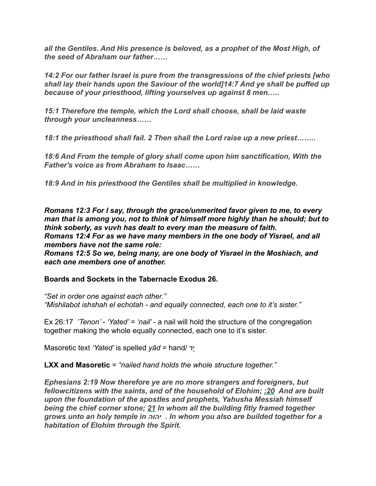*all the Gentiles. And His presence is beloved, as a prophet of the Most High, of the seed of Abraham our father……*

*14:2 For our father Israel is pure from the transgressions of the chief priests [who shall lay their hands upon the Saviour of the world]14:7 And ye shall be puffed up because of your priesthood, lifting yourselves up against 8 men…..* 

*15:1 Therefore the temple, which the Lord shall choose, shall be laid waste through your uncleanness……*

*18:1 the priesthood shall fail. 2 Then shall the Lord raise up a new priest……..* 

*18:6 And From the temple of glory shall come upon him sanctification, With the Father's voice as from Abraham to Isaac……*

*18:9 And in his priesthood the Gentiles shall be multiplied in knowledge.*

*Romans 12:3 For I say, through the grace/unmerited favor given to me, to every man that is among you, not to think of himself more highly than he should; but to think soberly, as vuvh has dealt to every man the measure of faith. Romans 12:4 For as we have many members in the one body of Yisrael, and all members have not the same role:* 

*Romans 12:5 So we, being many, are one body of Yisrael in the Moshiach, and each one members one of another.* 

#### **Boards and Sockets in the Tabernacle Exodus 26.**

*"Set in order one against each other." "Mishilabot ishshah el echotah - and equally connected, each one to it's sister."* 

Ex 26:17 *'Tenon' - 'Yated' = 'nail'* - a nail will hold the structure of the congregation together making the whole equally connected, each one to it's sister.

Masoretic text *'Yated'* is spelled *yâd* = hand/ דָי

**LXX and Masoretic** = *"nailed hand holds the whole structure together."* 

*Ephesians 2:19 Now therefore ye are no more strangers and foreigners, but fellowcitizens with the saints, and of the household of Elohim; :20 And are built upon the foundation of the apostles and prophets, Yahusha Messiah himself being the chief corner stone; 21 In whom all the building fitly framed together grows unto an holy temple in יהוה . In whom you also are builded together for a habitation of Elohim through the Spirit.*